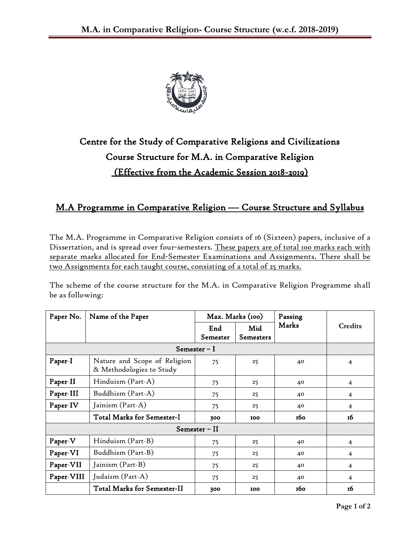

## Centre for the Study of Comparative Religions and Civilizations Course Structure for M.A. in Comparative Religion (Effective from the Academic Session 2018**-**2019)

## M.A Programme in Comparative Religion **----** Course Structure and Syllabus

The M.A. Programme in Comparative Religion consists of 16 (Sixteen) papers, inclusive of a Dissertation, and is spread over four-semesters. These papers are of total 100 marks each with separate marks allocated for End-Semester Examinations and Assignments. There shall be two Assignments for each taught course, consisting of a total of 25 marks.

The scheme of the course structure for the M.A. in Comparative Religion Programme shall be as following:

| Paper No.     | Name of the Paper                                        | Max. Marks (100) |                  | Passing |                |  |  |  |
|---------------|----------------------------------------------------------|------------------|------------------|---------|----------------|--|--|--|
|               |                                                          | End<br>Semester  | Mid<br>Semesters | Marks   | Credits        |  |  |  |
| Semester – I  |                                                          |                  |                  |         |                |  |  |  |
| Paper-I       | Nature and Scope of Religion<br>& Methodologies to Study | 75               | 25               | 40      | $\overline{4}$ |  |  |  |
| Paper-II      | Hinduism (Part-A)                                        | 75               | 25               | 40      | 4              |  |  |  |
| Paper-III     | Buddhism (Part-A)                                        | 75               | 25               | 40      | 4              |  |  |  |
| Paper-IV      | Jainism (Part-A)                                         | 75               | 25               | 40      | $\overline{4}$ |  |  |  |
|               | Total Marks for Semester-I                               | 300              | 100              | 160     | 16             |  |  |  |
| Semester – II |                                                          |                  |                  |         |                |  |  |  |
| Paper-V       | Hinduism (Part-B)                                        | 75               | 25               | 40      | $\overline{4}$ |  |  |  |
| Paper-VI      | Buddhism (Part-B)                                        | 75               | 25               | 40      | 4              |  |  |  |
| Paper-VII     | Jainism (Part-B)                                         | 75               | 25               | 40      | 4              |  |  |  |
| Paper-VIII    | Judaism (Part-A)                                         | 75               | 25               | 40      | $\overline{4}$ |  |  |  |
|               | <b>Total Marks for Semester-II</b>                       | 300              | 100              | 160     | 16             |  |  |  |